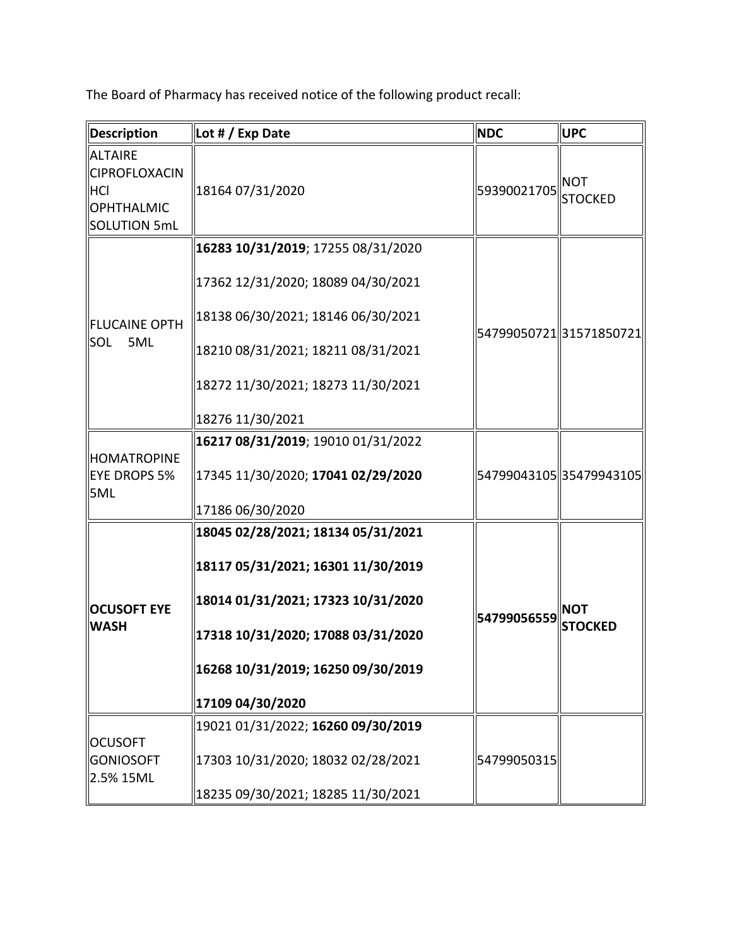The Board of Pharmacy has received notice of the following product recall:

| Description                                                                               | Lot # / Exp Date                                                                                                                                                                                               | <b>NDC</b>  | <b>UPC</b>                   |
|-------------------------------------------------------------------------------------------|----------------------------------------------------------------------------------------------------------------------------------------------------------------------------------------------------------------|-------------|------------------------------|
| <b>ALTAIRE</b><br><b>CIPROFLOXACIN</b><br><b>HCI</b><br><b>OPHTHALMIC</b><br>SOLUTION 5mL | 18164 07/31/2020                                                                                                                                                                                               | 59390021705 | <b>NOT</b><br><b>STOCKED</b> |
| FLUCAINE OPTH<br><b>SOL</b><br>5ML                                                        | 16283 10/31/2019; 17255 08/31/2020<br>17362 12/31/2020; 18089 04/30/2021<br>18138 06/30/2021; 18146 06/30/2021<br>18210 08/31/2021; 18211 08/31/2021<br>18272 11/30/2021; 18273 11/30/2021<br>18276 11/30/2021 |             | 54799050721 31571850721      |
| HOMATROPINE<br>EYE DROPS 5%<br>5ML                                                        | 16217 08/31/2019; 19010 01/31/2022<br>17345 11/30/2020; 17041 02/29/2020<br>17186 06/30/2020                                                                                                                   |             | 54799043105 35479943105      |
| <b>OCUSOFT EYE</b><br><b>WASH</b>                                                         | 18045 02/28/2021; 18134 05/31/2021<br>18117 05/31/2021; 16301 11/30/2019<br>18014 01/31/2021; 17323 10/31/2020<br>17318 10/31/2020; 17088 03/31/2020<br>16268 10/31/2019; 16250 09/30/2019<br>17109 04/30/2020 | 54799056559 | <b>NOT</b><br><b>STOCKED</b> |
| <b>OCUSOFT</b><br><b>GONIOSOFT</b><br>2.5% 15ML                                           | 19021 01/31/2022; 16260 09/30/2019<br>17303 10/31/2020; 18032 02/28/2021<br>18235 09/30/2021; 18285 11/30/2021                                                                                                 | 54799050315 |                              |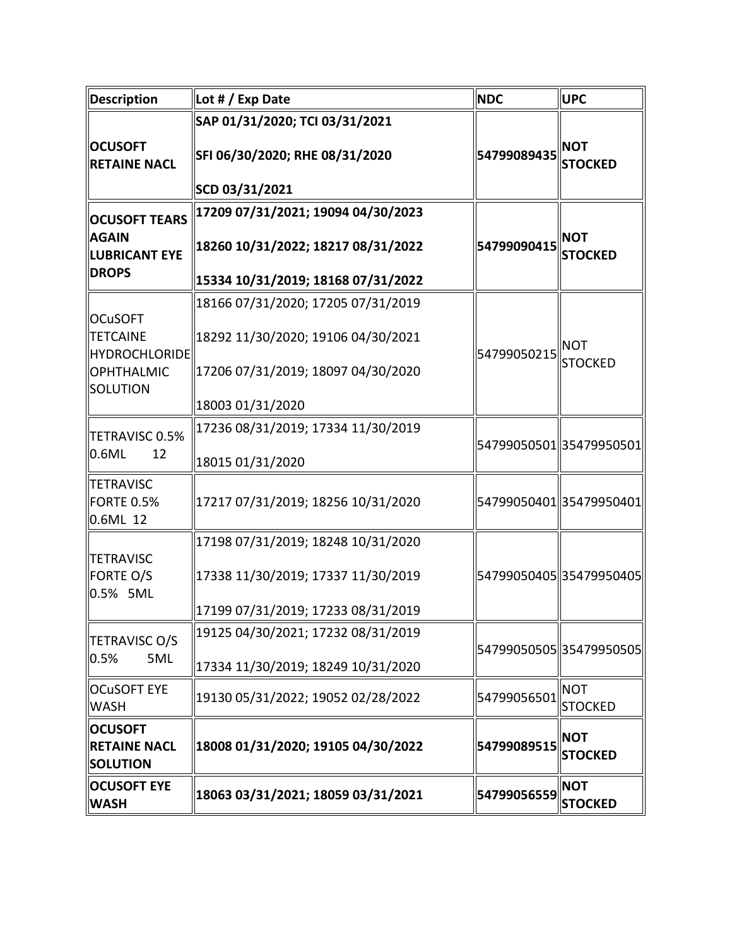| <b>Description</b>                                                                  | Lot # / Exp Date                                                                                                                   | <b>NDC</b>  | <b>UPC</b>                   |
|-------------------------------------------------------------------------------------|------------------------------------------------------------------------------------------------------------------------------------|-------------|------------------------------|
| <b>OCUSOFT</b><br><b>RETAINE NACL</b>                                               | SAP 01/31/2020; TCI 03/31/2021<br>SFI 06/30/2020; RHE 08/31/2020<br>SCD 03/31/2021                                                 | 54799089435 | <b>NOT</b><br><b>STOCKED</b> |
| <b>OCUSOFT TEARS</b><br><b>AGAIN</b><br><b>LUBRICANT EYE</b><br><b>DROPS</b>        | 17209 07/31/2021; 19094 04/30/2023<br>18260 10/31/2022; 18217 08/31/2022<br>15334 10/31/2019; 18168 07/31/2022                     | 54799090415 | <b>NOT</b><br><b>STOCKED</b> |
| <b>OCuSOFT</b><br><b>TETCAINE</b><br>HYDROCHLORIDE<br><b>OPHTHALMIC</b><br>SOLUTION | 18166 07/31/2020; 17205 07/31/2019<br>18292 11/30/2020; 19106 04/30/2021<br>17206 07/31/2019; 18097 04/30/2020<br>18003 01/31/2020 | 54799050215 | <b>NOT</b><br><b>STOCKED</b> |
| TETRAVISC 0.5%<br>0.6ML<br>12                                                       | 17236 08/31/2019; 17334 11/30/2019<br>18015 01/31/2020                                                                             |             | 54799050501 35479950501      |
| <b>TETRAVISC</b><br>FORTE 0.5%<br>0.6ML 12                                          | 17217 07/31/2019; 18256 10/31/2020                                                                                                 |             | 54799050401 35479950401      |
| <b>TETRAVISC</b><br><b>FORTE O/S</b><br>0.5% 5ML                                    | 17198 07/31/2019; 18248 10/31/2020<br>17338 11/30/2019; 17337 11/30/2019<br>17199 07/31/2019; 17233 08/31/2019                     |             | 54799050405 35479950405      |
| TETRAVISC O/S<br>0.5%<br>5ML                                                        | 19125 04/30/2021; 17232 08/31/2019<br>17334 11/30/2019; 18249 10/31/2020                                                           |             | 54799050505 35479950505      |
| <b>OCuSOFT EYE</b><br><b>WASH</b>                                                   | 19130 05/31/2022; 19052 02/28/2022                                                                                                 | 54799056501 | <b>NOT</b><br><b>STOCKED</b> |
| <b>OCUSOFT</b><br><b>RETAINE NACL</b><br><b>SOLUTION</b>                            | 18008 01/31/2020; 19105 04/30/2022                                                                                                 | 54799089515 | <b>NOT</b><br><b>STOCKED</b> |
| <b>OCUSOFT EYE</b><br><b>WASH</b>                                                   | 18063 03/31/2021; 18059 03/31/2021                                                                                                 | 54799056559 | <b>NOT</b><br><b>STOCKED</b> |